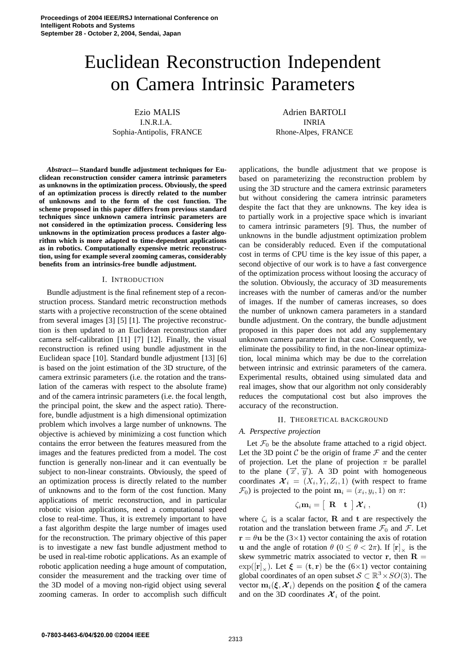# Euclidean Reconstruction Independent on Camera Intrinsic Parameters

Ezio MALIS I.N.R.I.A. Sophia-Antipolis, FRANCE

*Abstract***— Standard bundle adjustment techniques for Euclidean reconstruction consider camera intrinsic parameters as unknowns in the optimization process. Obviously, the speed of an optimization process is directly related to the number of unknowns and to the form of the cost function. The scheme proposed in this paper differs from previous standard techniques since unknown camera intrinsic parameters are not considered in the optimization process. Considering less unknowns in the optimization process produces a faster algorithm which is more adapted to time-dependent applications as in robotics. Computationally expensive metric reconstruction, using for example several zooming cameras, considerably benefits from an intrinsics-free bundle adjustment.**

## I. INTRODUCTION

Bundle adjustment is the final refinement step of a reconstruction process. Standard metric reconstruction methods starts with a projective reconstruction of the scene obtained from several images [3] [5] [1]. The projective reconstruction is then updated to an Euclidean reconstruction after camera self-calibration [11] [7] [12]. Finally, the visual reconstruction is refined using bundle adjustment in the Euclidean space [10]. Standard bundle adjustment [13] [6] is based on the joint estimation of the 3D structure, of the camera extrinsic parameters (i.e. the rotation and the translation of the cameras with respect to the absolute frame) and of the camera intrinsic parameters (i.e. the focal length, the principal point, the skew and the aspect ratio). Therefore, bundle adjustment is a high dimensional optimization problem which involves a large number of unknowns. The objective is achieved by minimizing a cost function which contains the error between the features measured from the images and the features predicted from a model. The cost function is generally non-linear and it can eventually be subject to non-linear constraints. Obviously, the speed of an optimization process is directly related to the number of unknowns and to the form of the cost function. Many applications of metric reconstruction, and in particular robotic vision applications, need a computational speed close to real-time. Thus, it is extremely important to have a fast algorithm despite the large number of images used for the reconstruction. The primary objective of this paper is to investigate a new fast bundle adjustment method to be used in real-time robotic applications. As an example of robotic application needing a huge amount of computation, consider the measurement and the tracking over time of the 3D model of a moving non-rigid object using several zooming cameras. In order to accomplish such difficult

Adrien BARTOLI INRIA Rhone-Alpes, FRANCE

applications, the bundle adjustment that we propose is based on parameterizing the reconstruction problem by using the 3D structure and the camera extrinsic parameters but without considering the camera intrinsic parameters despite the fact that they are unknowns. The key idea is to partially work in a projective space which is invariant to camera intrinsic parameters [9]. Thus, the number of unknowns in the bundle adjustment optimization problem can be considerably reduced. Even if the computational cost in terms of CPU time is the key issue of this paper, a second objective of our work is to have a fast convergence of the optimization process without loosing the accuracy of the solution. Obviously, the accuracy of 3D measurements increases with the number of cameras and/or the number of images. If the number of cameras increases, so does the number of unknown camera parameters in a standard bundle adjustment. On the contrary, the bundle adjustment proposed in this paper does not add any supplementary unknown camera parameter in that case. Consequently, we eliminate the possibility to find, in the non-linear optimization, local minima which may be due to the correlation between intrinsic and extrinsic parameters of the camera. Experimental results, obtained using simulated data and real images, show that our algorithm not only considerably reduces the computational cost but also improves the accuracy of the reconstruction.

## II. THEORETICAL BACKGROUND

#### *A. Perspective projection*

Let  $\mathcal{F}_0$  be the absolute frame attached to a rigid object. Let the 3D point  $\mathcal C$  be the origin of frame  $\mathcal F$  and the center of projection. Let the plane of projection  $\pi$  be parallel to the plane  $(\vec{x}, \vec{y})$ . A 3D point with homogeneous coordinates  $\mathcal{X}_i = (X_i, Y_i, Z_i, 1)$  (with respect to frame  $\mathcal{F}_0$ ) is projected to the point  $\mathbf{m}_i = (x_i, y_i, 1)$  on  $\pi$ :

$$
\zeta_i \mathbf{m}_i = \begin{bmatrix} \mathbf{R} & \mathbf{t} \end{bmatrix} \mathcal{X}_i , \qquad (1)
$$

where  $\zeta_i$  is a scalar factor, **R** and **t** are respectively the rotation and the translation between frame  $\mathcal{F}_0$  and  $\mathcal{F}$ . Let  $\mathbf{r} = \theta \mathbf{u}$  be the (3×1) vector containing the axis of rotation **u** and the angle of rotation  $\theta$  ( $0 \le \theta < 2\pi$ ). If  $[\mathbf{r}]_{\times}$  is the skew symmetric matrix associated to vector **r**, then  $\mathbf{R} =$  $\exp([\mathbf{r}]_{\times})$ . Let  $\xi = (\mathbf{t}, \mathbf{r})$  be the (6×1) vector containing global coordinates of an open subset  $S \subset \mathbb{R}^3 \times SO(3)$ . The vector  $\mathbf{m}_i(\boldsymbol{\xi}, \boldsymbol{\mathcal{X}}_i)$  depends on the position  $\boldsymbol{\xi}$  of the camera and on the 3D coordinates  $\mathcal{X}_i$  of the point.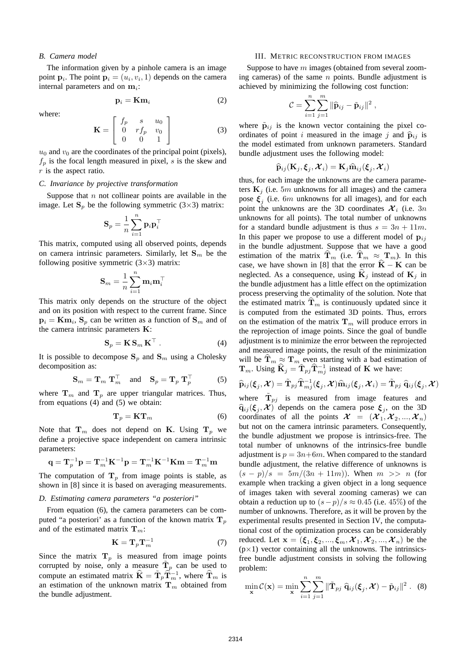# *B. Camera model*

The information given by a pinhole camera is an image point  $\mathbf{p}_i$ . The point  $\mathbf{p}_i = (u_i, v_i, 1)$  depends on the camera internal parameters and on **m**i:

$$
\mathbf{p}_i = \mathbf{Km}_i \tag{2}
$$

where:

$$
\mathbf{K} = \left[ \begin{array}{ccc} f_p & s & u_0 \\ 0 & rf_p & v_0 \\ 0 & 0 & 1 \end{array} \right] \tag{3}
$$

 $u_0$  and  $v_0$  are the coordinates of the principal point (pixels),  $f_p$  is the focal length measured in pixel, s is the skew and  $r$  is the aspect ratio.

#### *C. Invariance by projective transformation*

Suppose that  $n$  not collinear points are available in the image. Let  $S_p$  be the following symmetric (3×3) matrix:

$$
\mathbf{S}_p = \frac{1}{n}\sum_{i=1}^n \mathbf{p}_i \mathbf{p}_i^\top
$$

This matrix, computed using all observed points, depends on camera intrinsic parameters. Similarly, let  $S_m$  be the following positive symmetric  $(3\times3)$  matrix:

$$
\mathbf{S}_m = \frac{1}{n}\sum_{i=1}^n \mathbf{m}_i \mathbf{m}_i^\top
$$

This matrix only depends on the structure of the object and on its position with respect to the current frame. Since  $\mathbf{p}_i = \mathbf{Km}_i$ ,  $\mathbf{S}_p$  can be written as a function of  $\mathbf{S}_m$  and of the camera intrinsic parameters **K**:

$$
\mathbf{S}_p = \mathbf{K} \, \mathbf{S}_m \, \mathbf{K}^\top \,. \tag{4}
$$

It is possible to decompose  $S_p$  and  $S_m$  using a Cholesky decomposition as:

$$
\mathbf{S}_m = \mathbf{T}_m \, \mathbf{T}_m^\top \quad \text{and} \quad \mathbf{S}_p = \mathbf{T}_p \, \mathbf{T}_p^\top \tag{5}
$$

where  $T_m$  and  $T_p$  are upper triangular matrices. Thus, from equations (4) and (5) we obtain:

$$
\mathbf{T}_p = \mathbf{K} \mathbf{T}_m \tag{6}
$$

Note that  $\mathbf{T}_m$  does not depend on **K**. Using  $\mathbf{T}_p$  we define a projective space independent on camera intrinsic parameters:

$$
\mathbf{q} = \mathbf{T}_p^{-1} \mathbf{p} = \mathbf{T}_m^{-1} \mathbf{K}^{-1} \mathbf{p} = \mathbf{T}_m^{-1} \mathbf{K}^{-1} \mathbf{K} \mathbf{m} = \mathbf{T}_m^{-1} \mathbf{m}
$$

The computation of  $T_p$  from image points is stable, as shown in [8] since it is based on averaging measurements.

# *D. Estimating camera parameters "a posteriori"*

From equation (6), the camera parameters can be computed "a posteriori" as a function of the known matrix  $T_p$ and of the estimated matrix  $\mathbf{T}_m$ :

$$
\mathbf{K} = \mathbf{T}_p \mathbf{T}_m^{-1} \tag{7}
$$

Since the matrix  $\mathbf{T}_p$  is measured from image points corrupted by noise, only a measure  $\mathbf{T}_p$  can be used to compute an estimated matrix  $\hat{\mathbf{K}} = \tilde{\mathbf{T}}_p \hat{\mathbf{T}}_m^{-1}$ , where  $\hat{\mathbf{T}}_m$  is an estimation of the unknown matrix  $\mathbf{T}_m$  obtained from the bundle adjustment.

#### III. METRIC RECONSTRUCTION FROM IMAGES

Suppose to have m images (obtained from several zooming cameras) of the same  $n$  points. Bundle adjustment is achieved by minimizing the following cost function:

$$
\mathcal{C} = \sum_{i=1}^n \sum_{j=1}^m \|\widehat{\mathbf{p}}_{ij} - \tilde{\mathbf{p}}_{ij}\|^2 ,
$$

where  $\tilde{\mathbf{p}}_{ij}$  is the known vector containing the pixel coordinates of point i measured in the image j and  $\hat{p}_{ij}$  is the model estimated from unknown parameters. Standard bundle adjustment uses the following model:

$$
\widehat{\mathbf{p}}_{ij}(\mathbf{K}_j, \boldsymbol{\xi}_j, \boldsymbol{\mathcal{X}}_i) = \mathbf{K}_j \widehat{\mathbf{m}}_{ij}(\boldsymbol{\xi}_j, \boldsymbol{\mathcal{X}}_i)
$$

thus, for each image the unknowns are the camera parameters  $\mathbf{K}_j$  (i.e. 5m unknowns for all images) and the camera pose  $\xi$ <sub>i</sub> (i.e. 6m unknowns for all images), and for each point the unknowns are the 3D coordinates  $\mathcal{X}_i$  (i.e. 3n unknowns for all points). The total number of unknowns for a standard bundle adjustment is thus  $s = 3n + 11m$ . In this paper we propose to use a different model of  $\mathbf{p}_{ij}$ in the bundle adjustment. Suppose that we have a good estimation of the matrix  $\hat{\mathbf{T}}_m$  (i.e.  $\hat{\mathbf{T}}_m \approx \mathbf{T}_m$ ). In this case, we have shown in [8] that the error  $\hat{K} - K$  can be neglected. As a consequence, using  $\hat{\mathbf{K}}_i$  instead of  $\mathbf{K}_i$  in the bundle adjustment has a little effect on the optimization process preserving the optimality of the solution. Note that the estimated matrix  $\mathbf{T}_m$  is continuously updated since it is computed from the estimated 3D points. Thus, errors on the estimation of the matrix  $\mathbf{T}_m$  will produce errors in the reprojection of image points. Since the goal of bundle adjustment is to minimize the error between the reprojected and measured image points, the result of the minimization will be  $\mathbf{T}_m \approx \mathbf{T}_m$  even starting with a bad estimation of **T**<sub>m</sub>. Using  $\widehat{\mathbf{K}}_j = \widetilde{\mathbf{T}}_{pj} \widehat{\mathbf{T}}_{mj}^{-1}$  instead of **K** we have:

$$
\widehat{\mathbf{p}}_{ij}(\boldsymbol{\xi}_j,\boldsymbol{\mathcal{X}})=\tilde{\mathbf{T}}_{pj}\widehat{\mathbf{T}}_{mj}^{-1}(\boldsymbol{\xi}_j,\boldsymbol{\mathcal{X}})\widehat{\mathbf{m}}_{ij}(\boldsymbol{\xi}_j,\boldsymbol{\mathcal{X}}_i)=\tilde{\mathbf{T}}_{pj}~\widehat{\mathbf{q}}_{ij}(\boldsymbol{\xi}_j,\boldsymbol{\mathcal{X}})
$$

where  $\mathbf{T}_{pj}$  is measured from image features and  $\hat{\mathbf{q}}_{ij}(\boldsymbol{\xi}_j, \boldsymbol{\mathcal{X}})$  depends on the camera pose  $\boldsymbol{\xi}_j$ , on the 3D coordinates of all the points  $\mathcal{X} = (\mathcal{X}_1, \mathcal{X}_2, ..., \mathcal{X}_n)$ but not on the camera intrinsic parameters. Consequently, the bundle adjustment we propose is intrinsics-free. The total number of unknowns of the intrinsics-free bundle adjustment is  $p = 3n+6m$ . When compared to the standard bundle adjustment, the relative difference of unknowns is  $(s - p)/s = 5m/(3n + 11m)$ . When  $m >> n$  (for example when tracking a given object in a long sequence of images taken with several zooming cameras) we can obtain a reduction up to  $(s-p)/s \approx 0.45$  (i.e. 45%) of the number of unknowns. Therefore, as it will be proven by the experimental results presented in Section IV, the computational cost of the optimization process can be considerably reduced. Let  $\mathbf{x} = (\xi_1, \xi_2, ..., \xi_m, \mathcal{X}_1, \mathcal{X}_2, ..., \mathcal{X}_n)$  be the  $(p \times 1)$  vector containing all the unknowns. The intrinsicsfree bundle adjustment consists in solving the following problem:

$$
\min_{\mathbf{x}} \mathcal{C}(\mathbf{x}) = \min_{\mathbf{x}} \sum_{i=1}^{n} \sum_{j=1}^{m} ||\mathbf{\tilde{T}}_{pj} \hat{\mathbf{q}}_{ij}(\boldsymbol{\xi}_{j}, \boldsymbol{\mathcal{X}}) - \tilde{\mathbf{p}}_{ij}||^{2} .
$$
 (8)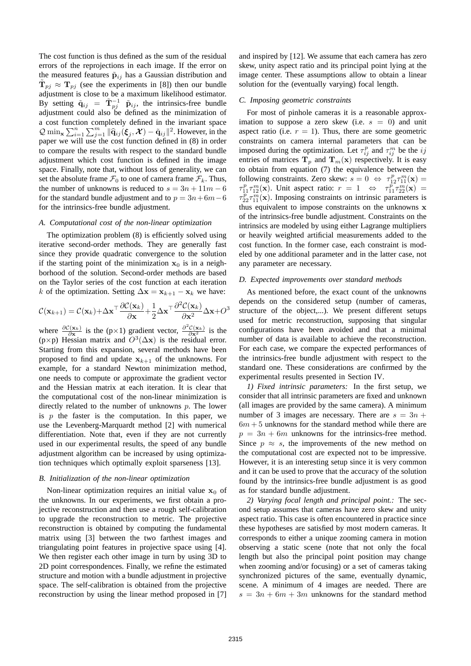The cost function is thus defined as the sum of the residual errors of the reprojections in each image. If the error on the measured features  $\tilde{\mathbf{p}}_{ij}$  has a Gaussian distribution and  $\mathbf{T}_{pj} \approx \mathbf{T}_{pj}$  (see the experiments in [8]) then our bundle adjustment is close to be a maximum likelihood estimator. By setting  $\tilde{\mathbf{q}}_{ij} = \tilde{\mathbf{T}}_{pj}^{-1}$   $\tilde{\mathbf{p}}_{ij}$ , the intrinsics-free bundle adjustment could also be defined as the minimization of a cost function completely defined in the invariant space  $Q \min_{\mathbf{x}} \sum_{i=1}^n \sum_{j=1}^m ||\widehat{\mathbf{q}}_{ij}(\boldsymbol{\xi}_j, \boldsymbol{\mathcal{X}}) - \widetilde{\mathbf{q}}_{ij}||^2$ . However, in the paper we will use the cost function defined in (8) in order to compare the results with respect to the standard bundle adjustment which cost function is defined in the image space. Finally, note that, without loss of generality, we can set the absolute frame  $\mathcal{F}_0$  to one of camera frame  $\mathcal{F}_k$ . Thus, the number of unknowns is reduced to  $s = 3n + 11m - 6$ for the standard bundle adjustment and to  $p = 3n+6m-6$ for the intrinsics-free bundle adjustment.

## *A. Computational cost of the non-linear optimization*

The optimization problem (8) is efficiently solved using iterative second-order methods. They are generally fast since they provide quadratic convergence to the solution if the starting point of the minimization  $x_0$  is in a neighborhood of the solution. Second-order methods are based on the Taylor series of the cost function at each iteration k of the optimization. Setting  $\Delta \mathbf{x} = \mathbf{x}_{k+1} - \mathbf{x}_k$  we have:

$$
C(\mathbf{x}_{k+1}) = C(\mathbf{x}_k) + \Delta \mathbf{x}^\top \frac{\partial C(\mathbf{x}_k)}{\partial \mathbf{x}} + \frac{1}{2} \Delta \mathbf{x}^\top \frac{\partial^2 C(\mathbf{x}_k)}{\partial \mathbf{x}^2} \Delta \mathbf{x} + O^3
$$

where  $\frac{\partial C(\mathbf{x}_k)}{\partial \mathbf{x}}$  is the (p×1) gradient vector,  $\frac{\partial^2 C(\mathbf{x}_k)}{\partial \mathbf{x}^2}$  is the (p×p) Hessian matrix and  $O^3(\Delta x)$  is the residual error. Starting from this expansion, several methods have been proposed to find and update  $x_{k+1}$  of the unknowns. For example, for a standard Newton minimization method, one needs to compute or approximate the gradient vector and the Hessian matrix at each iteration. It is clear that the computational cost of the non-linear minimization is directly related to the number of unknowns p. The lower is  $p$  the faster is the computation. In this paper, we use the Levenberg-Marquardt method [2] with numerical differentiation. Note that, even if they are not currently used in our experimental results, the speed of any bundle adjustment algorithm can be increased by using optimization techniques which optimally exploit sparseness [13].

#### *B. Initialization of the non-linear optimization*

Non-linear optimization requires an initial value  $x_0$  of the unknowns. In our experiments, we first obtain a projective reconstruction and then use a rough self-calibration to upgrade the reconstruction to metric. The projective reconstruction is obtained by computing the fundamental matrix using [3] between the two farthest images and triangulating point features in projective space using [4]. We then register each other image in turn by using 3D to 2D point correspondences. Finally, we refine the estimated structure and motion with a bundle adjustment in projective space. The self-calibration is obtained from the projective reconstruction by using the linear method proposed in [7]

and inspired by [12]. We assume that each camera has zero skew, unity aspect ratio and its principal point lying at the image center. These assumptions allow to obtain a linear solution for the (eventually varying) focal length.

## *C. Imposing geometric constraints*

For most of pinhole cameras it is a reasonable approximation to suppose a zero skew (i.e.  $s = 0$ ) and unit aspect ratio (i.e.  $r = 1$ ). Thus, there are some geometric constraints on camera internal parameters that can be imposed during the optimization. Let  $\tau_{ij}^p$  and  $\tau_{ij}^m$  be the ij entries of matrices  $T_p$  and  $T_m(x)$  respectively. It is easy to obtain from equation (7) the equivalence between the following constraints. Zero skew:  $s = 0 \Leftrightarrow \tau_{12}^p \tau_{11}^m(\mathbf{x}) =$  $\tau_{11}^p \tau_{12}^m(\mathbf{x})$ . Unit aspect ratio:  $r = 1 \Leftrightarrow \tau_{11}^p \tau_{22}^m(\mathbf{x}) =$  $\tau_{22}^p \tau_{11}^m(\mathbf{x})$ . Imposing constraints on intrinsic parameters is thus equivalent to impose constraints on the unknowns **x** of the intrinsics-free bundle adjustment. Constraints on the intrinsics are modeled by using either Lagrange multipliers or heavily weighted artificial measurements added to the cost function. In the former case, each constraint is modeled by one additional parameter and in the latter case, not any parameter are necessary.

## *D. Expected improvements over standard methods*

As mentioned before, the exact count of the unknowns depends on the considered setup (number of cameras, structure of the object,...). We present different setups used for metric reconstruction, supposing that singular configurations have been avoided and that a minimal number of data is available to achieve the reconstruction. For each case, we compare the expected performances of the intrinsics-free bundle adjustment with respect to the standard one. These considerations are confirmed by the experimental results presented in Section IV.

*1) Fixed intrinsic parameters:* In the first setup, we consider that all intrinsic parameters are fixed and unknown (all images are provided by the same camera). A minimum number of 3 images are necessary. There are  $s = 3n +$  $6m + 5$  unknowns for the standard method while there are  $p = 3n + 6m$  unknowns for the intrinsics-free method. Since  $p \approx s$ , the improvements of the new method on the computational cost are expected not to be impressive. However, it is an interesting setup since it is very common and it can be used to prove that the accuracy of the solution found by the intrinsics-free bundle adjustment is as good as for standard bundle adjustment.

*2) Varying focal length and principal point.:* The second setup assumes that cameras have zero skew and unity aspect ratio. This case is often encountered in practice since these hypotheses are satisfied by most modern cameras. It corresponds to either a unique zooming camera in motion observing a static scene (note that not only the focal length but also the principal point position may change when zooming and/or focusing) or a set of cameras taking synchronized pictures of the same, eventually dynamic, scene. A minimum of 4 images are needed. There are  $s = 3n + 6m + 3m$  unknowns for the standard method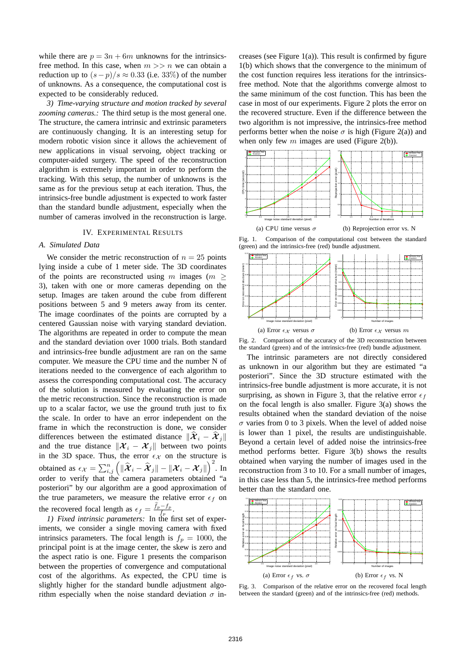while there are  $p = 3n + 6m$  unknowns for the intrinsicsfree method. In this case, when  $m \gg n$  we can obtain a reduction up to  $(s - p)/s \approx 0.33$  (i.e. 33%) of the number of unknowns. As a consequence, the computational cost is expected to be considerably reduced.

*3) Time-varying structure and motion tracked by several zooming cameras.:* The third setup is the most general one. The structure, the camera intrinsic and extrinsic parameters are continuously changing. It is an interesting setup for modern robotic vision since it allows the achievement of new applications in visual servoing, object tracking or computer-aided surgery. The speed of the reconstruction algorithm is extremely important in order to perform the tracking. With this setup, the number of unknowns is the same as for the previous setup at each iteration. Thus, the intrinsics-free bundle adjustment is expected to work faster than the standard bundle adjustment, especially when the number of cameras involved in the reconstruction is large.

# IV. EXPERIMENTAL RESULTS

# *A. Simulated Data*

We consider the metric reconstruction of  $n = 25$  points lying inside a cube of 1 meter side. The 3D coordinates of the points are reconstructed using m images ( $m \geq$ 3), taken with one or more cameras depending on the setup. Images are taken around the cube from different positions between 5 and 9 meters away from its center. The image coordinates of the points are corrupted by a centered Gaussian noise with varying standard deviation. The algorithms are repeated in order to compute the mean and the standard deviation over 1000 trials. Both standard and intrinsics-free bundle adjustment are ran on the same computer. We measure the CPU time and the number N of iterations needed to the convergence of each algorithm to assess the corresponding computational cost. The accuracy of the solution is measured by evaluating the error on the metric reconstruction. Since the reconstruction is made up to a scalar factor, we use the ground truth just to fix the scale. In order to have an error independent on the frame in which the reconstruction is done, we consider differences between the estimated distance  $\|\mathcal{X}_i - \mathcal{X}_i\|$ and the true distance  $\|\mathcal{X}_i - \mathcal{X}_j\|$  between two points in the 3D space. Thus, the error  $\epsilon_{\mathcal{X}}$  on the structure is obtained as  $\epsilon_{\mathcal{X}} = \sum_{i,j}^{n} \left( \|\hat{\boldsymbol{\mathcal{X}}}_i - \hat{\boldsymbol{\mathcal{X}}}_j\| - \|\boldsymbol{\mathcal{X}}_i - \boldsymbol{\mathcal{X}}_j\| \right)$  $\Big)^2$ . In order to verify that the camera parameters obtained "a posteriori" by our algorithm are a good approximation of the true parameters, we measure the relative error  $\epsilon_f$  on posteriori" by our algorithm are a good a<br>the true parameters, we measure the rela<br>the recovered focal length as  $\epsilon_f = \frac{\hat{f}_p - f_p}{f_p}$ .

*1) Fixed intrinsic parameters:* In the first set of experiments, we consider a single moving camera with fixed intrinsics parameters. The focal length is  $f_p = 1000$ , the principal point is at the image center, the skew is zero and the aspect ratio is one. Figure 1 presents the comparison between the properties of convergence and computational cost of the algorithms. As expected, the CPU time is slightly higher for the standard bundle adjustment algorithm especially when the noise standard deviation  $\sigma$  increases (see Figure 1(a)). This result is confirmed by figure 1(b) which shows that the convergence to the minimum of the cost function requires less iterations for the intrinsicsfree method. Note that the algorithms converge almost to the same minimum of the cost function. This has been the case in most of our experiments. Figure 2 plots the error on the recovered structure. Even if the difference between the two algorithm is not impressive, the intrinsics-free method performs better when the noise  $\sigma$  is high (Figure 2(a)) and when only few  $m$  images are used (Figure 2(b)).



Fig. 1. Comparison of the computational cost between the standard (green) and the intrinsics-free (red) bundle adjustment.



Fig. 2. Comparison of the accuracy of the 3D reconstruction between the standard (green) and of the intrinsics-free (red) bundle adjustment.

The intrinsic parameters are not directly considered as unknown in our algorithm but they are estimated "a posteriori". Since the 3D structure estimated with the intrinsics-free bundle adjustment is more accurate, it is not surprising, as shown in Figure 3, that the relative error  $\epsilon_f$ on the focal length is also smaller. Figure 3(a) shows the results obtained when the standard deviation of the noise  $\sigma$  varies from 0 to 3 pixels. When the level of added noise is lower than 1 pixel, the results are undistinguishable. Beyond a certain level of added noise the intrinsics-free method performs better. Figure 3(b) shows the results obtained when varying the number of images used in the reconstruction from 3 to 10. For a small number of images, in this case less than 5, the intrinsics-free method performs better than the standard one.



Fig. 3. Comparison of the relative error on the recovered focal length between the standard (green) and of the intrinsics-free (red) methods.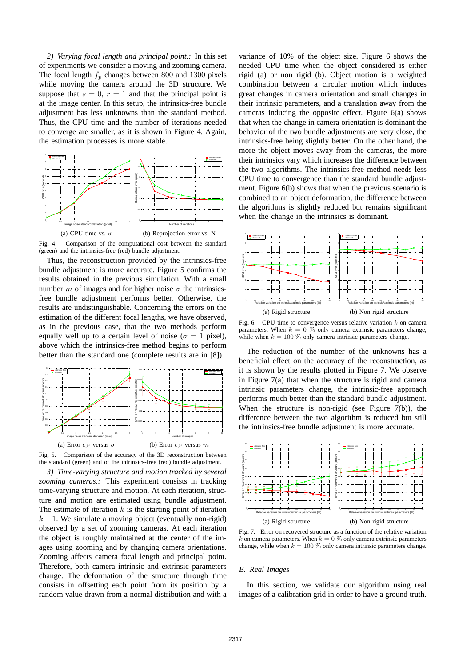*2) Varying focal length and principal point.:* In this set of experiments we consider a moving and zooming camera. The focal length  $f_p$  changes between 800 and 1300 pixels while moving the camera around the 3D structure. We suppose that  $s = 0$ ,  $r = 1$  and that the principal point is at the image center. In this setup, the intrinsics-free bundle adjustment has less unknowns than the standard method. Thus, the CPU time and the number of iterations needed to converge are smaller, as it is shown in Figure 4. Again, the estimation processes is more stable.



Fig. 4. Comparison of the computational cost between the standard (green) and the intrinsics-free (red) bundle adjustment.

Thus, the reconstruction provided by the intrinsics-free bundle adjustment is more accurate. Figure 5 confirms the results obtained in the previous simulation. With a small number m of images and for higher noise  $\sigma$  the intrinsicsfree bundle adjustment performs better. Otherwise, the results are undistinguishable. Concerning the errors on the estimation of the different focal lengths, we have observed, as in the previous case, that the two methods perform equally well up to a certain level of noise ( $\sigma = 1$  pixel), above which the intrinsics-free method begins to perform better than the standard one (complete results are in [8]).



Fig. 5. Comparison of the accuracy of the 3D reconstruction between the standard (green) and of the intrinsics-free (red) bundle adjustment.

*3) Time-varying structure and motion tracked by several zooming cameras.:* This experiment consists in tracking time-varying structure and motion. At each iteration, structure and motion are estimated using bundle adjustment. The estimate of iteration  $k$  is the starting point of iteration  $k + 1$ . We simulate a moving object (eventually non-rigid) observed by a set of zooming cameras. At each iteration the object is roughly maintained at the center of the images using zooming and by changing camera orientations. Zooming affects camera focal length and principal point. Therefore, both camera intrinsic and extrinsic parameters change. The deformation of the structure through time consists in offsetting each point from its position by a random value drawn from a normal distribution and with a variance of 10% of the object size. Figure 6 shows the needed CPU time when the object considered is either rigid (a) or non rigid (b). Object motion is a weighted combination between a circular motion which induces great changes in camera orientation and small changes in their intrinsic parameters, and a translation away from the cameras inducing the opposite effect. Figure 6(a) shows that when the change in camera orientation is dominant the behavior of the two bundle adjustments are very close, the intrinsics-free being slightly better. On the other hand, the more the object moves away from the cameras, the more their intrinsics vary which increases the difference between the two algorithms. The intrinsics-free method needs less CPU time to convergence than the standard bundle adjustment. Figure 6(b) shows that when the previous scenario is combined to an object deformation, the difference between the algorithms is slightly reduced but remains significant when the change in the intrinsics is dominant.



Fig. 6. CPU time to convergence versus relative variation  $k$  on camera parameters. When  $k = 0$  % only camera extrinsic parameters change, while when  $k = 100\%$  only camera intrinsic parameters change.

The reduction of the number of the unknowns has a beneficial effect on the accuracy of the reconstruction, as it is shown by the results plotted in Figure 7. We observe in Figure 7(a) that when the structure is rigid and camera intrinsic parameters change, the intrinsic-free approach performs much better than the standard bundle adjustment. When the structure is non-rigid (see Figure  $7(b)$ ), the difference between the two algorithm is reduced but still the intrinsics-free bundle adjustment is more accurate.



Fig. 7. Error on recovered structure as a function of the relative variation k on camera parameters. When  $k = 0$  % only camera extrinsic parameters change, while when  $k = 100\%$  only camera intrinsic parameters change.

#### *B. Real Images*

In this section, we validate our algorithm using real images of a calibration grid in order to have a ground truth.